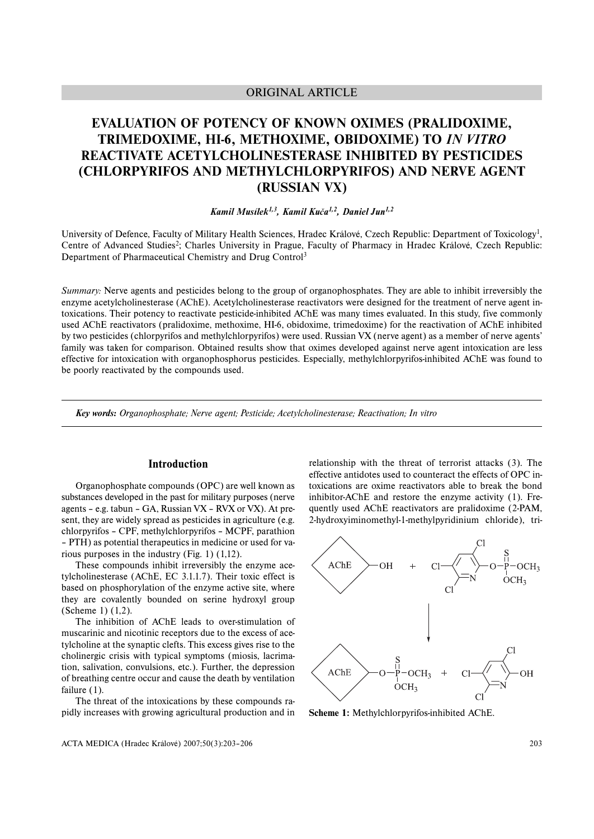## ORIGINAL ARTICLE

# **EVALUATION OF POTENCY OF KNOWN OXIMES (PRALIDOXIME, TRIMEDOXIME, HI-6, METHOXIME, OBIDOXIME) TO** *IN VITRO* **REACTIVATE ACETYLCHOLINESTERASE INHIBITED BY PESTICIDES (CHLORPYRIFOS AND METHYLCHLORPYRIFOS) AND NERVE AGENT (RUSSIAN VX)**

## *Kamil Musílek1,3, Kamil Kuča1,2, Daniel Jun1,2*

University of Defence, Faculty of Military Health Sciences, Hradec Králové, Czech Republic: Department of Toxicology<sup>1</sup>, Centre of Advanced Studies<sup>2</sup>; Charles University in Prague, Faculty of Pharmacy in Hradec Králové, Czech Republic: Department of Pharmaceutical Chemistry and Drug Control3

*Summary:* Nerve agents and pesticides belong to the group of organophosphates. They are able to inhibit irreversibly the enzyme acetylcholinesterase (AChE). Acetylcholinesterase reactivators were designed for the treatment of nerve agent intoxications. Their potency to reactivate pesticide-inhibited AChE was many times evaluated. In this study, five commonly used AChE reactivators (pralidoxime, methoxime, HI-6, obidoxime, trimedoxime) for the reactivation of AChE inhibited by two pesticides (chlorpyrifos and methylchlorpyrifos) were used. Russian VX (nerve agent) as a member of nerve agents' family was taken for comparison. Obtained results show that oximes developed against nerve agent intoxication are less effective for intoxication with organophosphorus pesticides. Especially, methylchlorpyrifos-inhibited AChE was found to be poorly reactivated by the compounds used.

*Key words: Organophosphate; Nerve agent; Pesticide; Acetylcholinesterase; Reactivation; In vitro*

## **Introduction**

Organophosphate compounds (OPC) are well known as substances developed in the past for military purposes (nerve agents – e.g. tabun – GA, Russian VX – RVX or VX). At present, they are widely spread as pesticides in agriculture (e.g. chlorpyrifos – CPF, methylchlorpyrifos – MCPF, parathion – PTH) as potential therapeutics in medicine or used for various purposes in the industry (Fig. 1) (1,12).

These compounds inhibit irreversibly the enzyme acetylcholinesterase (AChE, EC 3.1.1.7). Their toxic effect is based on phosphorylation of the enzyme active site, where they are covalently bounded on serine hydroxyl group (Scheme 1) (1,2).

The inhibition of AChE leads to over-stimulation of muscarinic and nicotinic receptors due to the excess of acetylcholine at the synaptic clefts. This excess gives rise to the cholinergic crisis with typical symptoms (miosis, lacrimation, salivation, convulsions, etc.). Further, the depression of breathing centre occur and cause the death by ventilation failure  $(1)$ .

The threat of the intoxications by these compounds rapidly increases with growing agricultural production and in

relationship with the threat of terrorist attacks (3). The effective antidotes used to counteract the effects of OPC intoxications are oxime reactivators able to break the bond inhibitor-AChE and restore the enzyme activity (1). Frequently used AChE reactivators are pralidoxime (2-PAM, 2-hydroxyiminomethyl-1-methylpyridinium chloride), tri-



**Scheme 1:** Methylchlorpyrifos-inhibited AChE.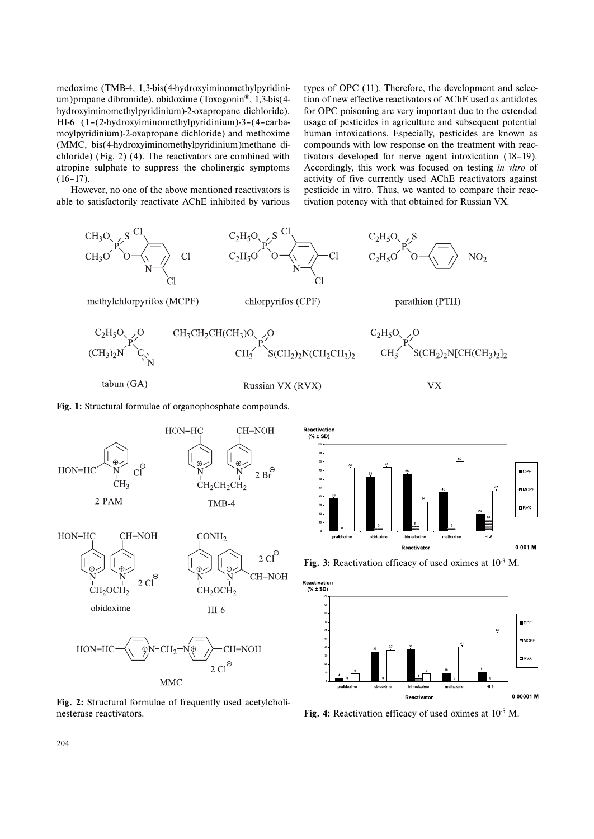medoxime (TMB-4, 1,3-bis(4-hydroxyiminomethylpyridinium)propane dibromide), obidoxime (Toxogonin®, 1,3-bis(4 hydroxyiminomethylpyridinium)-2-oxapropane dichloride), HI-6 (1–(2-hydroxyiminomethylpyridinium)-3–(4–carbamoylpyridinium)-2-oxapropane dichloride) and methoxime (MMC, bis(4-hydroxyiminomethylpyridinium)methane dichloride) (Fig. 2) (4). The reactivators are combined with atropine sulphate to suppress the cholinergic symptoms  $(16-17)$ .

types of OPC (11). Therefore, the development and selection of new effective reactivators of AChE used as antidotes for OPC poisoning are very important due to the extended usage of pesticides in agriculture and subsequent potential human intoxications. Especially, pesticides are known as compounds with low response on the treatment with reactivators developed for nerve agent intoxication (18–19). Accordingly, this work was focused on testing *in vitro* of activity of five currently used AChE reactivators against pesticide in vitro. Thus, we wanted to compare their reactivation potency with that obtained for Russian VX.

However, no one of the above mentioned reactivators is able to satisfactorily reactivate AChE inhibited by various



nesterase reactivators. **Fig. 4:** Reactivation efficacy of used oximes at 10<sup>-5</sup> M.

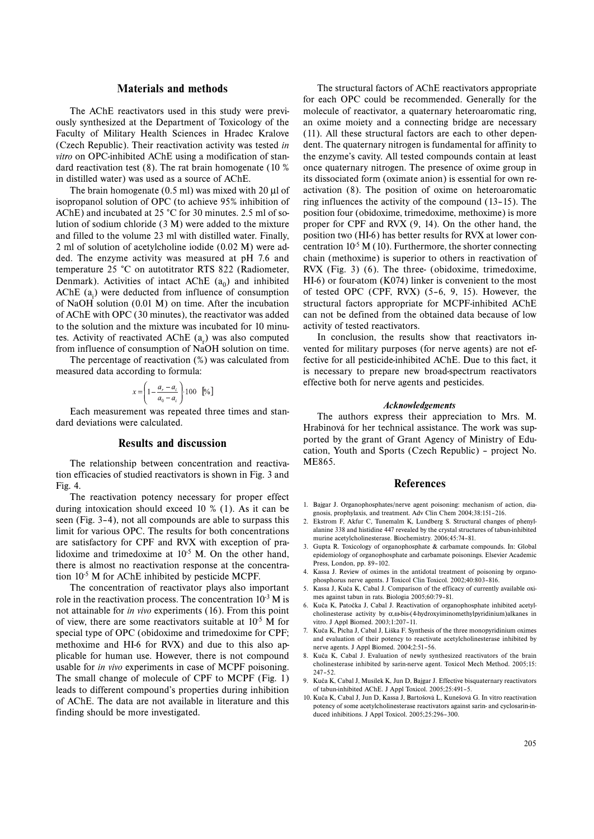#### **Materials and methods**

The AChE reactivators used in this study were previously synthesized at the Department of Toxicology of the Faculty of Military Health Sciences in Hradec Kralove (Czech Republic). Their reactivation activity was tested *in vitro* on OPC-inhibited AChE using a modification of standard reactivation test (8). The rat brain homogenate (10 % in distilled water) was used as a source of AChE.

The brain homogenate (0.5 ml) was mixed with 20 μl of isopropanol solution of OPC (to achieve 95% inhibition of AChE) and incubated at 25 °C for 30 minutes. 2.5 ml of solution of sodium chloride (3 M) were added to the mixture and filled to the volume 23 ml with distilled water. Finally, 2 ml of solution of acetylcholine iodide (0.02 M) were added. The enzyme activity was measured at pH 7.6 and temperature 25 °C on autotitrator RTS 822 (Radiometer, Denmark). Activities of intact AChE  $(a_0)$  and inhibited  $AChE$  ( $a_i$ ) were deducted from influence of consumption of NaOH solution (0.01 M) on time. After the incubation of AChE with OPC (30 minutes), the reactivator was added to the solution and the mixture was incubated for 10 minutes. Activity of reactivated AChE  $(a<sub>r</sub>)$  was also computed from influence of consumption of NaOH solution on time.

The percentage of reactivation (%) was calculated from measured data according to formula:

$$
x = \left(1 - \frac{a_r - a_i}{a_0 - a_i}\right) 100 \quad \text{[%]}
$$

Each measurement was repeated three times and standard deviations were calculated.

#### **Results and discussion**

The relationship between concentration and reactivation efficacies of studied reactivators is shown in Fig. 3 and Fig. 4.

The reactivation potency necessary for proper effect during intoxication should exceed 10 % (1). As it can be seen (Fig. 3–4), not all compounds are able to surpass this limit for various OPC. The results for both concentrations are satisfactory for CPF and RVX with exception of pralidoxime and trimedoxime at  $10^{-5}$  M. On the other hand, there is almost no reactivation response at the concentration  $10^{-5}$  M for AChE inhibited by pesticide MCPF.

The concentration of reactivator plays also important role in the reactivation process. The concentration  $10^{-3}$  M is not attainable for *in vivo* experiments (16). From this point of view, there are some reactivators suitable at  $10^{-5}$  M for special type of OPC (obidoxime and trimedoxime for CPF; methoxime and HI-6 for RVX) and due to this also applicable for human use. However, there is not compound usable for *in vivo* experiments in case of MCPF poisoning. The small change of molecule of CPF to MCPF (Fig. 1) leads to different compound's properties during inhibition of AChE. The data are not available in literature and this finding should be more investigated.

The structural factors of AChE reactivators appropriate for each OPC could be recommended. Generally for the molecule of reactivator, a quaternary heteroaromatic ring, an oxime moiety and a connecting bridge are necessary (11). All these structural factors are each to other dependent. The quaternary nitrogen is fundamental for affinity to the enzyme's cavity. All tested compounds contain at least once quaternary nitrogen. The presence of oxime group in its dissociated form (oximate anion) is essential for own reactivation (8). The position of oxime on heteroaromatic ring influences the activity of the compound (13–15). The position four (obidoxime, trimedoxime, methoxime) is more proper for CPF and RVX (9, 14). On the other hand, the position two (HI-6) has better results for RVX at lower concentration  $10^{-5}$  M (10). Furthermore, the shorter connecting chain (methoxime) is superior to others in reactivation of RVX (Fig. 3) (6). The three- (obidoxime, trimedoxime, HI-6) or four-atom (K074) linker is convenient to the most of tested OPC (CPF, RVX) (5–6, 9, 15). However, the structural factors appropriate for MCPF-inhibited AChE can not be defined from the obtained data because of low activity of tested reactivators.

In conclusion, the results show that reactivators invented for military purposes (for nerve agents) are not effective for all pesticide-inhibited AChE. Due to this fact, it is necessary to prepare new broad-spectrum reactivators effective both for nerve agents and pesticides.

#### *Acknowledgements*

The authors express their appreciation to Mrs. M. Hrabinová for her technical assistance. The work was supported by the grant of Grant Agency of Ministry of Education, Youth and Sports (Czech Republic) – project No. ME865.

#### **References**

- 1. Bajgar J. Organophosphates/nerve agent poisoning: mechanism of action, diagnosis, prophylaxis, and treatment. Adv Clin Chem 2004;38:151–216.
- 2. Ekstrom F, Akfur C, Tunemalm K, Lundberg S. Structural changes of phenylalanine 338 and histidine 447 revealed by the crystal structures of tabun-inhibited murine acetylcholinesterase. Biochemistry. 2006;45:74–81.
- 3. Gupta R. Toxicology of organophosphate & carbamate compounds. In: Global epidemiology of organophosphate and carbamate poisonings. Elsevier Academic Press, London, pp. 89–102.
- 4. Kassa J. Review of oximes in the antidotal treatment of poisoning by organophosphorus nerve agents. J Toxicol Clin Toxicol. 2002;40:803–816.
- 5. Kassa J, Kuča K, Cabal J. Comparison of the efficacy of currently available oximes against tabun in rats. Biologia 2005;60:79–81.
- 6. Kuča K, Patočka J, Cabal J. Reactivation of organophosphate inhibited acetylcholinesterase activity by α,ω-bis-(4-hydroxyiminomethylpyridinium)alkanes in vitro. J Appl Biomed. 2003;1:207–11.
- 7. Kuča K, Pícha J, Cabal J, Liška F. Synthesis of the three monopyridinium oximes and evaluation of their potency to reactivate acetylcholinesterase inhibited by nerve agents. J Appl Biomed. 2004;2:51–56.
- 8. Kuča K, Cabal J. Evaluation of newly synthesized reactivators of the brain cholinesterase inhibited by sarin-nerve agent. Toxicol Mech Method. 2005;15: 247–52.
- 9. Kuča K, Cabal J, Musílek K, Jun D, Bajgar J. Effective bisquaternary reactivators of tabun-inhibited AChE. J Appl Toxicol. 2005;25:491–5.
- 10. Kuča K, Cabal J, Jun D, Kassa J, Bartošová L, Kunešová G. In vitro reactivation potency of some acetylcholinesterase reactivators against sarin- and cyclosarin-induced inhibitions. J Appl Toxicol. 2005;25:296–300.